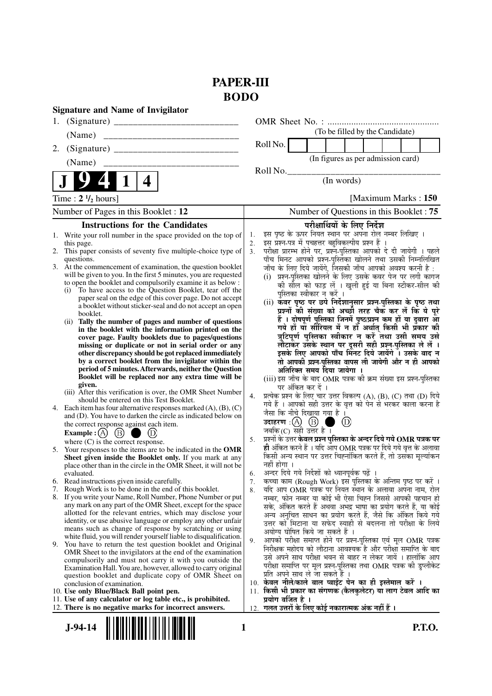# **PAPER-III BODO**

| <b>Signature and Name of Invigilator</b>                                                                                                    |                                                                                                                                                       |
|---------------------------------------------------------------------------------------------------------------------------------------------|-------------------------------------------------------------------------------------------------------------------------------------------------------|
|                                                                                                                                             |                                                                                                                                                       |
| (Name)                                                                                                                                      | (To be filled by the Candidate)                                                                                                                       |
| 2.                                                                                                                                          | Roll No.                                                                                                                                              |
| (Name)                                                                                                                                      | (In figures as per admission card)                                                                                                                    |
| 4                                                                                                                                           | Roll No.<br>(In words)                                                                                                                                |
| Time : $2 \frac{1}{2}$ hours]                                                                                                               | [Maximum Marks: 150]                                                                                                                                  |
| Number of Pages in this Booklet : 12                                                                                                        | Number of Questions in this Booklet: 75                                                                                                               |
| <b>Instructions for the Candidates</b>                                                                                                      | परीक्षार्थियों के लिए निर्देश                                                                                                                         |
| 1. Write your roll number in the space provided on the top of                                                                               | इस पृष्ठ के ऊपर नियत स्थान पर अपना रोल नम्बर लिखिए ।<br>1.                                                                                            |
| this page.<br>2. This paper consists of seventy five multiple-choice type of                                                                | इस प्रश्न-पत्र में पचहत्तर बहुविकल्पीय प्रश्न हैं<br>2.<br>परीक्षा प्रारम्भ होने पर, प्रश्न-पुस्तिका आपको दे दी जायेगी । पहले<br>3.                   |
| questions.                                                                                                                                  | पाँच मिनट आपको प्रश्न-पुस्तिका खोलने तथा उसकी निम्नलिखित                                                                                              |
| 3. At the commencement of examination, the question booklet                                                                                 | जाँच के लिए दिये जायेंगे, जिसकी जाँच आपको अवश्य करनी है :                                                                                             |
| will be given to you. In the first 5 minutes, you are requested<br>to open the booklet and compulsorily examine it as below :               | (i) प्रश्न-पुस्तिका खोलने के लिए उसके कवर पेज पर लगी कागज                                                                                             |
| (i) To have access to the Question Booklet, tear off the                                                                                    | की सील को फाड़ लें । खुली हुई या बिना स्टीकर-सील की<br>पुस्तिका स्वीकार न करें ।                                                                      |
| paper seal on the edge of this cover page. Do not accept<br>a booklet without sticker-seal and do not accept an open                        | (ii) कँवर पृष्ठ पर छपे निर्देशानुसार प्रश्न-पुस्तिका के पृष्ठ तथा<br>प्रश्नों की संख्या को अच्छी तरह चैक कर लें कि ये पूरे                            |
| booklet.                                                                                                                                    |                                                                                                                                                       |
| Tally the number of pages and number of questions<br>(ii)                                                                                   | हैं । दोषपूर्ण पुस्तिका जिनमें पृष्ठ/प्रश्न कम हों या दुबारा आ<br>गये हों या सौरियल में न हों अर्थात् किसी भी प्रकार की                               |
| in the booklet with the information printed on the<br>cover page. Faulty booklets due to pages/questions                                    | त्रुटिपूर्ण पुस्तिका स्वीकार न करें तथा उसी समय उसे                                                                                                   |
| missing or duplicate or not in serial order or any                                                                                          | लौटाकर उसके स्थान पर दूसरी सही प्रश्न-पुस्तिका ले लें ।                                                                                               |
| other discrepancy should be got replaced immediately<br>by a correct booklet from the invigilator within the                                | इसके लिए आपको पाँच मिनट दिये जायेंगे । उसके बाद न<br>तो आपकी प्रश्न-पुस्तिका वापस ली जायेगी और न ही आपको                                              |
| period of 5 minutes. Afterwards, neither the Question                                                                                       | अतिरिक्त समय दिया जायेगा ।                                                                                                                            |
| Booklet will be replaced nor any extra time will be                                                                                         | (iii) इस जाँच के बाद OMR पत्रक की क्रम संख्या इस प्रश्न-पुस्तिका                                                                                      |
| given.<br>(iii) After this verification is over, the OMR Sheet Number                                                                       | पर अंकित कर दें ।                                                                                                                                     |
| should be entered on this Test Booklet.                                                                                                     | प्रत्येक प्रश्न के लिए चार उत्तर विकल्प (A), (B), (C) तथा (D) दिये<br>4.<br>गये हैं । आपको सही उत्तर के वृत्त को पेन से भरकर काला करना है             |
| Each item has four alternative responses marked $(A)$ , $(B)$ , $(C)$<br>4.<br>and (D). You have to darken the circle as indicated below on | जैसा कि नीचे दिखाया गया है ।                                                                                                                          |
| the correct response against each item.                                                                                                     | $_{\rm (D)}$                                                                                                                                          |
| $\circled{B}$<br><b>Example</b> : $(A)$                                                                                                     | जबकि $(C)$ सही उत्तर है ।                                                                                                                             |
| where (C) is the correct response.                                                                                                          | प्रश्नों के उत्तर <b>केवल प्रश्न पुस्तिका के अन्दर दिये गये OMR पत्रक पर</b><br>5.<br>ही अंकित करने हैं । यदि आप OMR पत्रक पर दिये गये वृत्त के अलावा |
| 5. Your responses to the items are to be indicated in the OMR<br>Sheet given inside the Booklet only. If you mark at any                    | किसी अन्य स्थान पर उत्तर चिह्नांकित करते हैं, तो उसका मूल्यांकन                                                                                       |
| place other than in the circle in the OMR Sheet, it will not be                                                                             | नहीं होगा ।                                                                                                                                           |
| evaluated.<br>6. Read instructions given inside carefully.                                                                                  | अन्दर दिये गये निर्देशों को ध्यानपूर्वक पढ़ें ।<br>6.<br>कच्चा काम (Rough Work) इस पुस्तिका के अन्तिम पृष्ठ पर करें ।<br>7.                           |
| 7. Rough Work is to be done in the end of this booklet.                                                                                     | यदि आप OMR पत्रक पर नियत स्थान के अलावा अपना नाम, रोल<br>8.                                                                                           |
| 8. If you write your Name, Roll Number, Phone Number or put                                                                                 | नम्बर, फोन नम्बर या कोई भी ऐसा चिह्न जिससे आपकी पहचान हो                                                                                              |
| any mark on any part of the OMR Sheet, except for the space<br>allotted for the relevant entries, which may disclose your                   | सके, अंकित करते हैं अथवा अभद्र भाषा का प्रयोग करते हैं, या कोई<br>अन्य अनुचित साधन का प्रयोग करते हैं, जैसे कि अंकित किये गये                         |
| identity, or use abusive language or employ any other unfair                                                                                | उत्तर को मिटाना या सफेद स्याही से बदलना तो परीक्षा के लिये                                                                                            |
| means such as change of response by scratching or using<br>white fluid, you will render yourself liable to disqualification.                | अयोग्य घोषित किये जा सकते हैं ।                                                                                                                       |
| 9. You have to return the test question booklet and Original                                                                                | आपको परीक्षा समाप्त होने पर प्रश्न-पुस्तिका एवं मूल OMR पत्रक<br>9.<br>निरीक्षक महोदय को लौटाना आवश्यक है और परीक्षा समाप्ति के बाद                   |
| OMR Sheet to the invigilators at the end of the examination                                                                                 | उसे अपने साथ परीक्षा भवन से बाहर न लेकर जायें । हालांकि आप                                                                                            |
| compulsorily and must not carry it with you outside the<br>Examination Hall. You are, however, allowed to carry original                    | परीक्षा समाप्ति पर मूल प्रश्न-पुस्तिका तथा OMR पत्रक की डुप्लीकेट                                                                                     |
| question booklet and duplicate copy of OMR Sheet on                                                                                         | प्रति अपने साथ ले जा सकते हैं ।                                                                                                                       |
| conclusion of examination.<br>10. Use only Blue/Black Ball point pen.                                                                       | 10. केवल नीले/काले बाल प्वाईंट पेन का ही इस्तेमाल करें ।<br>किसी भी प्रकार का संगणक (कैलकुलेटर) या लाग टेबल आदि का<br>11.                             |
| 11. Use of any calculator or log table etc., is prohibited.                                                                                 | प्रयोग वर्जित है ।                                                                                                                                    |
| 12. There is no negative marks for incorrect answers.                                                                                       | 12. गलत उत्तरों के लिए कोई नकारात्मक अंक नहीं हैं ।                                                                                                   |
| $J-94-14$                                                                                                                                   | <b>P.T.O.</b><br>1                                                                                                                                    |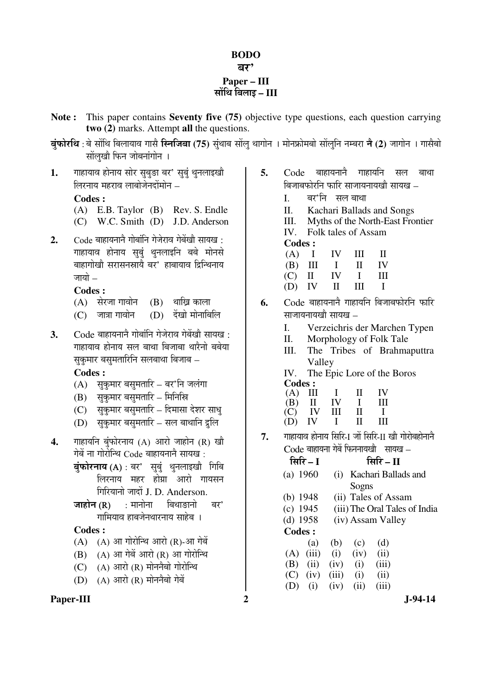# **BODO**  बर' **Paper – III**  ÃÖÖë×£Ö ×²Ö»ÖÖ‡ **– III**

- **Note :** This paper contains **Seventy five (75)** objective type questions, each question carrying **two (2)** marks. Attempt **all** the questions.
- **बंफोरथि** : बे सोंथि बिलायाव गासै **स्निजिबा (75)** सुंथाब सोंलु थागोन । मोनफ्रोमबो सोंलुनि नम्बरा **ने (2)** जागोन । गासैबो सोंलुखौ फिन जोबनांगोन ।
- 1. गाहायाव होनाय सोर सुबुङा बर' सुबुं थुनलाइखो लिरनाय महराव लाबोजेनदोंमोन –

#### **Codes :**

- (A) E.B. Taylor (B) Rev. S. Endle
- (C) W.C. Smith (D) J.D. Anderson
- 2. Code बाहायनानै गोबांनि गेजेराव गेबेंखौ सायख: गाहायाव होनाय सुबुं थुनलाइनि बबे मोनसे बाहागोखौ सरासनस्रायै बर' हाबायाव द्रिन्थिनाय जायो $-$

## **Codes :**

- $(A)$  सेरजा गावोन  $(B)$  थाख्नि काला
- $(C)$  जात्रा गावोन  $(D)$  देंखो मोनाबिलि
- 3. Code बाहायनानै गोबांनि गेजेराव गेबेंखौ सायख<sup>़</sup> गाहायाव होनाय सल बाथा बिजाबा थारैनो बबेया सकमार बसमतारिनि सलबाथा बिजाब –

 **Codes :** 

- (A) सुकुमार बसुमतारि बर'नि जलंगा
- $(B)$  सकुमार बसुमतारि मिनिस्रि
- (C) सुकुमार बसुमतारि दिमासा देशर साध्
- (D) सुकुमार बसुमतारि सल बाथानि द्रुलि
- **4.** गाहायनि बुंफोरनाय (A) आरो जाहोन (R) खौ गेबें ना गोरोन्थि Code बाहायनाने सायख :
	- $\vec{a}$ फोरनाय (A) : बर' सबं थनलाइखौ गिबि लिरनाय महर होग्रा आरो गायसन गिरियानो जादों J. D. Anderson.
	- $\overline{S}$ जाहोन (R) : मानोना बिथाङानो बर' गामियाव हाबजेनथारनाय साहेब ।

## **Codes :**

- $(A)$   $(A)$  आ गोरोन्थि आरो  $(R)$ -आ गेबें
- $(B)$   $(A)$  आ गेबें आरो  $(R)$  आ गोरोन्थि
- $(C)$   $(A)$  आरो $(R)$  मोननैबो गोरोन्थि
- $(D)$   $(A)$  आरो  $(R)$  मोननैबो गेबें

## Paper-III 2 J-94-14

- **5.** Code बाहायनाने गाहायनि सल बाथा बिजाबफोरनि फारि साजायनायखौ सायख –
	- I. बर'नि सलबाथा
	- II. Kachari Ballads and Songs
	- III. Myths of the North-East Frontier IV. Folk tales of Assam
	- **Codes :**
	- $(A)$  I IV III II (B) III I II IV<br>(C) II IV I III  $(C)$  II  $(D)$  IV II III I
- **6.** Code बाहायनाने गाहायनि बिजाबफोरनि फारि  $\overline{a}$ माजायनायखो $\overline{a}$ 
	- I. Verzeichris der Marchen Typen
	- II. Morphology of Folk Tale
	- III. The Tribes of Brahmaputtra Valley
	- IV. The Epic Lore of the Boros **Codes :**

| $(A)$ III |          | $\mathbf{I}$ | H.           | IV           |
|-----------|----------|--------------|--------------|--------------|
| (B)       | II IV    |              | $\mathbf{I}$ | Ш            |
|           | $(C)$ IV | Ш            | H            | $\mathbf{I}$ |
| (D)       | IV       | $\mathbf{I}$ | Н.           | Ш            |

7. गाहायाव होनाय सिरि-I जों सिरि-II खौ गोरोबहोनाने  $Code$  बाहायना गेबें फिननायखौ सायख $=$ 

| सिरि – I      |       |       | सिरि $ \Pi$         |                               |
|---------------|-------|-------|---------------------|-------------------------------|
| (a) 1960      | (i)   |       | Kachari Ballads and |                               |
|               |       | Sogns |                     |                               |
| (b) $1948$    |       |       | (ii) Tales of Assam |                               |
| $(c)$ 1945    |       |       |                     | (iii) The Oral Tales of India |
| $(d)$ 1958    |       |       | (iv) Assam Valley   |                               |
| <b>Codes:</b> |       |       |                     |                               |
| (a)           | (b)   | (c)   | (d)                 |                               |
| (iii)<br>(A)  | (i)   | (iv)  | (ii)                |                               |
| (ii)<br>(B)   | (iv)  | (i)   | (iii)               |                               |
| (iv)<br>(C)   | (iii) | (i)   | (ii)                |                               |
| (i)           | (iv)  | (ii)  | (iii)               |                               |
|               |       |       |                     |                               |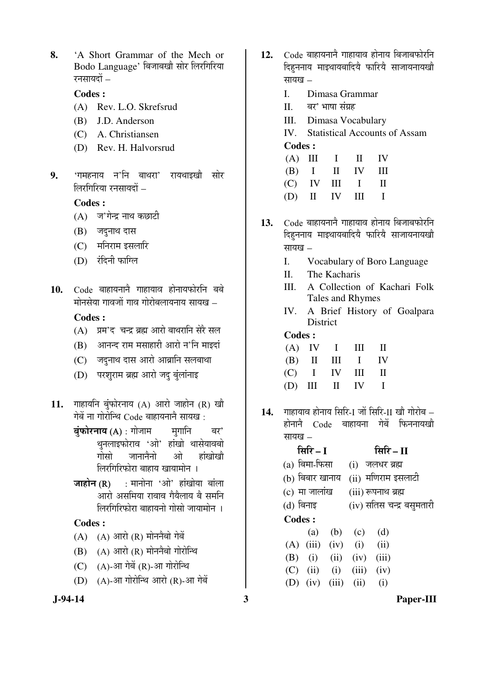**8.** 'A Short Grammar of the Mech or Bodo Language' बिजाबखौ सोर लिरगिरिया रनसायदों –

#### **Codes :**

- (A) Rev. L.O. Skrefsrud
- (B) J.D. Anderson
- (C) A. Christiansen
- (D) Rev. H. Halvorsrud
- 9. 'गमहनाय न'नि बाथरा' रायथाइखौ सोर  $\hat{z}$ लिरगिरिया रनसायदों –

#### **Codes :**

- $(A)$  ज'गेन्द्र नाथ कछाटी
- $(B)$  जदनाथ दास
- $(C)$  मनिराम इसलारि
- (D) रंदिनी फाग्लि
- 10. Code बाहायनाने गाहायाव होनायफोरनि बबे मोनसेया गावजों गाव गोरोबलायनाय सायख – **Codes :**
	- $(A)$  ग्रम'द चन्द्र ब्रह्म आरो बाथरानि सेरै सल
	- $(B)$  आनन्द राम मसाहारी आरो न'नि माइदां
	- $(C)$  जदनाथ दास आरो आब्रानि सलबाथा
	- (D) परशुराम ब्रह्म आरो जद बुंलांनाइ
- 11. गाहायनि बुंफोरनाय (A) आरो जाहोन (R) खौ गेबें ना गोरोन्थि Code बाहायनाने सायख :
	- $\vec{a}$ फोरनाय (A) : गोजाम  $\vec{b}$  मगानि बर' थनलाइफोराव 'ओ' हांखो थासेयावबो गोसो जानानैनो ओ हांखोखौ लिरगिरिफोरा बाहाय खायामोन**।**
	- $\overline{\mathbf{S}}$  (R) : मानोना 'ओ' हांखोया बांला आरो असमिया रावाव गैयैलाय बै समनि लिरगिरिफोरा बाहायनो गोसो जायामोन**।**

#### **Codes :**

- $(A)$   $(A)$  आरो  $(R)$  मोननैबो गेबें
- $(B)$   $(A)$  आरो  $(R)$  मोननैबो गोरोन्थि
- $(C)$   $(A)$ -आ गेबें $(R)$ -आ गोरोन्थि
- $(D)$   $(A)$ -आ गोरोन्थि आरो  $(R)$ -आ गेबें
- 
- 12. Code बाहायनाने गाहायाव होनाय बिजाबफोरनि दिहननाय माइथायबादिये फारिये साजायनायखो सायख $-$ 
	- I. Dimasa Grammar
	- II. बर' भाषा संग्रह
	- III. Dimasa Vocabulary
	- IV. Statistical Accounts of Assam **Codes :**

|  | $(A)$ III I II IV |  |
|--|-------------------|--|
|  | $(B)$ I II IV III |  |
|  | $(C)$ IV III I II |  |
|  | $(D)$ II IV III I |  |

- 13. Code बाहायनाने गाहायाव होनाय बिजाबफोरनि दिहननाय माइथायबादियै फारियै साजायनायखौ सायख $-$ 
	- I. Vocabulary of Boro Language
	- II. The Kacharis
	- III. A Collection of Kachari Folk Tales and Rhymes
	- IV. A Brief History of Goalpara **District**

#### **Codes :**

|  |  | $(A)$ IV I III II |  |
|--|--|-------------------|--|
|  |  | $(B)$ II III I IV |  |
|  |  | $(C)$ I IV III II |  |
|  |  | $(D)$ III II IV I |  |

14. गाहायाव होनाय सिरि-I जों सिरि-II खौ गोरोब – होनानै Code बाहायना गेबें फिननायखो सायख $-$ 

|                 | सिरि – I             |      |       | सिरि $-II$                |  |
|-----------------|----------------------|------|-------|---------------------------|--|
| (a) बिमा-फिसा   |                      |      |       | (i) जलधर ब्रह्म           |  |
| (b) बिबार खानाय |                      |      |       | (ii) मणिराम इसलाटी        |  |
| $(c)$ मा जालांख |                      |      |       | (iii) रूपनाथ ब्रह्म       |  |
| (d) बिनाइ       |                      |      |       | (iv) सतिस चन्द्र बसुमतारी |  |
| <b>Codes:</b>   |                      |      |       |                           |  |
|                 | (a)                  | (b)  | (c)   | (d)                       |  |
|                 | $(A)$ (iii) (iv) (i) |      |       | (ii)                      |  |
| (B)             | (i)                  | (ii) | (iv)  | (iii)                     |  |
| (C)             | (ii)                 | (i)  | (iii) | (iv)                      |  |
|                 | (D) $(iv)$ $(iii)$   |      | (ii)  | (i)                       |  |

 **J-94-14 3 Paper-III**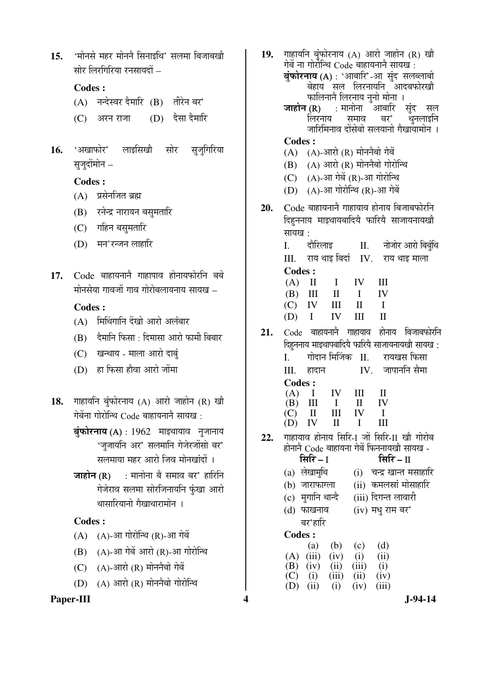15. 'मोनसे महर मोनने सिनाइथि' सलमा बिजाबखो  $\overline{u}$ र्मार लिरगिरिया रनसायदों  $-$ 

# **Codes :**

- (A) नन्देस्वर दैमारि (B) तीरेन बर'
- (C) अरन राजा (D) दैसा दैमारि
- 16. 'अखाफोर' लाइसिखौ सोर सुजुगिरिया सुजुदोंमोन –

#### **Codes :**

- $(A)$  प्रसेनजित ब्रह्म
- (B) रनेन्द्र नारायन बसुमतारि
- (C) गहिन बस्**मतारि**
- $(D)$  मन'रन्जन लाहारि
- 17. Code बाहायनाने गाहापाव होनायफोरनि बबे  $\dot{\mathbf{u}}$ निसेया गावजों गाव गोरोबलायनाय सायख $\,$  –

## **Codes :**

- (A) मिथिंगानि देंखो आरो अलंबार
- (B) देमानि फिसा : दिमासा आरो फामी बिबार
- (C) खन्थाय माला आरो दाबुं
- $(D)$  हा फिसा हौवा आरो जोंमा
- 18. गाहायनि बंफोरनाय (A) आरो जाहोन (R) खौ गेबेंना गोरोन्थि $\rm~Code$  बाहायनाने सायख $\rm~:$ 
	- $\vec{a}$ फोरनाय (A) : 1962 माइथायाव नुजानाय 'जुजायनि अर' सलमानि गेजेरजोंसो बर' सलमाया महर आरो जिव मोनखंदों ।
	- $\overline{\text{m}}$ होन (R) : मानोना बै समाव बर' हारिनि गेजेराव सलमा सोरजिनायनि फुंखा आरो थासारियानो गैखाथारामोन**।**

# **Codes :**

- $(A)$   $(A)$ -आ गोरोन्थि  $(R)$ -आ गेबें
- $(B)$   $(A)$ -आ गेबें आरो  $(R)$ -आ गोरोन्थि
- $(C)$   $(A)$ -आरो $(R)$  मोननैबो गेबें
- $(D)$   $(A)$  आरो  $(R)$  मोननैबो गोरोन्थि

# Paper-III 3-94-14

- 19. गाहायनि बंफोरनाय (A) आरो जाहोन (R) खौ गेबें ना गोरोन्थि Code बाहायनाने सायख<sup>े</sup>: बुं**फोरनाय** (A) : 'आबारि'-आ सुंद सलब्लाबो ेबेहाय सल लिरनायनि आदबफोरख<mark>ौ</mark> ेफालिनानै लिरनाय नुनो मोना । •ÖÖÆüÖê®Ö (R) : ´ÖÖ®ÖÖê®ÖÖ †Ö²ÖÖ׸ü ÃÖãÓ¤ü ÃÖ»Ö बर' थनलाइनि •जारिमिनाव दोंसेबो सलयानो गैखायामोन । **Codes :**  $(A)$   $(A)$ -आरो  $(R)$  मोननैबो गेबें  $(B)$   $(A)$  आरो  $(R)$  मोननैबो गोरोन्थि  $(C)$   $(A)$ -आ गेबें $(R)$ -आ गोरोन्थि  $(D)$   $(A)$ -आ गोरोन्थि  $(R)$ -आ गेबें 20. Code बाहायनाने गाहायाव होनाय बिजाबफोरनि दिहुननाय माइथायबादियै फारियै साजायनायखौ सायख $\cdot$ I. दौरिलाइ II. नोजोर आरो बिबंथि  $III.$   $\overline{U}$   $\overline{U}$   $\overline{V}$   $\overline{V}$   $\overline{V}$   $\overline{V}$   $\overline{V}$   $\overline{V}$   $\overline{V}$   $\overline{V}$   $\overline{V}$   $\overline{V}$   $\overline{V}$   $\overline{V}$   $\overline{V}$   $\overline{V}$   $\overline{V}$   $\overline{V}$   $\overline{V}$   $\overline{V}$   $\overline{V}$   $\overline{V}$   $\overline{V}$   $\overline{V}$ **Codes :**  $(A)$  II I IV III  $(B)$  III II I IV  $(C)$  IV III II I  $(D)$  I IV III II 21. Code बाहायनाने गाहायाव होनाय बिजाबफोरनि हिहननाय माइथापबादिये फारिये साजायनायखो सायख: I. गोदान मिजिंक II. रायखस फिसा III. हादान IV. जापाननि सैमा **Codes :** (A) I IV III II (B) III I II IV (C) II III IV I (D) IV II I III 22. गाहायाव होनाय सिरि-I जों सिरि-II खौ गोरोब होनानै Code बाहायना गेबें फिननायखो सायख -<br>सिरि – I सिरि – II <del>सिरि</del> – II (a) लेखामृथि (i) चन्द्र खान्त मसाहारि  $(b)$  जाराफाग्ला  $(ii)$  कमलस्रां मोसाहारि  $(c)$  मृगानि थान्दै $(iii)$  दिगन्त लावारी  $(d)$  फाखनाव बर'हारि  $(iv)$  मधु राम बर' **Codes :** (a) (b) (c) (d)
	- (A) (iii) (iv) (i) (ii) (B) (iv) (ii) (iii) (i) (B) (iv) (ii) (iii) (i)<br>(C) (i) (iii) (ii) (iv) (C) (i) (iii) (ii) (D) (ii) (i) (D) (ii) (i) (iv) (iii)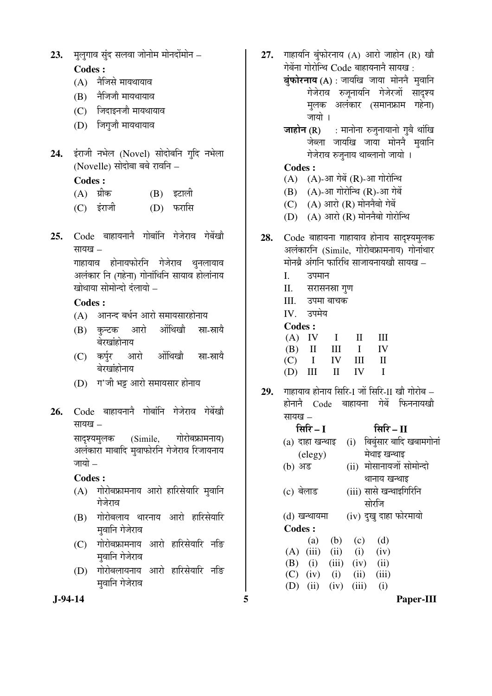23. मुलुगाव सुंद सलवा जोनोम मोनदोंमोन –

# **Codes :**

- $(A)$  नैजिसे मायथायाव
- $(B)$  नेजिजौ मायथायाव
- (C) जिंदाइनजौ मायथायाव
- (D) जिगुजौ मायथायाव
- **24.** इंराजी नभेल (Novel) सोदोबनि गुदि नभेला (Novelle) सोदोबा बबे रावनि –

## **Codes :**

- (A) ग्रीक (B) इटाली
- (C) ‡Ó¸üÖ•Öß (D) ±ú¸üÖ×ÃÖ
- 25. Code बाहायनानै गोबांनि गेजेराव गेबेंखो  $\overline{u}$ यायाव $\overline{u}$

गाहायाव होनायफोरनि गेजेराव थुनलायाव अलंकार नि (गहेना) गोनांथिनि सायाव होलांनाय खोथाया सोमोन्दो दलायो –

# **Codes :**

- (A) आनन्द बर्धन आरो समायसारहोनाय
- (B) कन्टक आरो ओंथिखौ स्ना-स्नायै बेरखांहोनाय
- (C) कर्पुर आरो ओंथिखौ स्ना-स्नायै बेरखांहोनाय
- (D) ग'जी भट्ट आरो समायसार होनाय
- 26. Code बाहायनानै गोबांनि गेजेराव गेबेंखो सायख $-$

सादश्यमुलक (Simile, गोरोबफ्रामनाय) अलंकारा माबादि मृवाफोरनि गेजेराव रिजायनाय जायो $-$ 

## **Codes :**

- $(A)$  गोरोबफ्रामनाय आरो हारिसेयारि मुवानि गेजेराव
- (B) गोरोबलाय थारनाय आरो हारिसेयारि मुवानि गेजेराव
- (C) गोरोबफ्रामनाय आरो हारिसेयारि नङि मुवानि गेजेराव
- (D) गोरोबलायनाय आरो हारिसेयारि नङि मुवानि गेजेराव
- 27. गाहायनि बुंफोरनाय (A) आरो जाहोन (R) खौ गेबेंना गोरोन्थि Code बाहायनानै सायख:
	- बुंफोरनाय (A) : जायखि जाया मोननै मुवानि गेजेराव रुजूनायनि गेजेरजों सादृश्य मलक अलंकार (समानफ्राम गहेना) जायो ।
	- **जाहोन (R)** : मानोना रुजुनायानो गुबै थांखि जेब्ला जायखि जाया मोनने मवानि गेजेराव रुजुनाय थाब्लानो जायो ।

## **Codes :**

- $(A)$   $(A)$ -आ गेबें $(R)$ -आ गोरोन्थि
- $(B)$   $(A)$ -आ गोरोन्थि  $(R)$ -आ गेबें
- $(C)$   $(A)$  आरो  $(R)$  मोननैबो गेबें
- $(D)$   $(A)$  आरो  $(R)$  मोननैबो गोरोन्थि
- 28. Code बाहायना गाहायाव होनाय सादृश्यमुलक अलंकारनि (Simile, गोरोबफ्रामनाय) गोनांथार मोनब्रे अंगनि फारिथि साजायनायखौ सायख –
	- I. उपमान
	- II. सरासनस्रा गुण
	- III. उपमा बाचक
	- $IV$  उपमेय

#### **Codes :**

| $(A)$ IV I II III |  |  |
|-------------------|--|--|
| $(B)$ II III I IV |  |  |
| $(C)$ I IV III II |  |  |
| $(D)$ III II IV I |  |  |

**29.** ÝÖÖÆüÖµÖÖ¾Ö ÆüÖê®ÖÖµÖ ×ÃÖ׸ü-I •ÖÖë ×ÃÖ׸ü-II ÜÖÖî ÝÖÖê¸üÖê²Ö –  $\vec{E}$ होनाने  $C$ ode बाहायना गेबें फिननायखो  $\overline{u}$ याय $\overline{u}$ 

| सिरि – II                   |
|-----------------------------|
| (i) बिबुंसार बादि खबामगोनां |
| मेथाइ खन्थाइ                |
| (ii) मोसानायजों सोमोन्दो    |
| थानाय खन्थाइ                |
| (iii) सासे खन्थाइगिरिनि     |
| सोरजि                       |
| (iv) दुखु दाहा फोरमायो      |
|                             |
| (a) (b) (c)<br>(d)          |
| (i)<br>(iv)                 |
| (B) (i) (iii) (iv) (ii)     |
| (ii)<br>(iii)               |
| (iii)<br>(iv)<br>(i)        |
| (iii)                       |

 **J-94-14 5 Paper-III**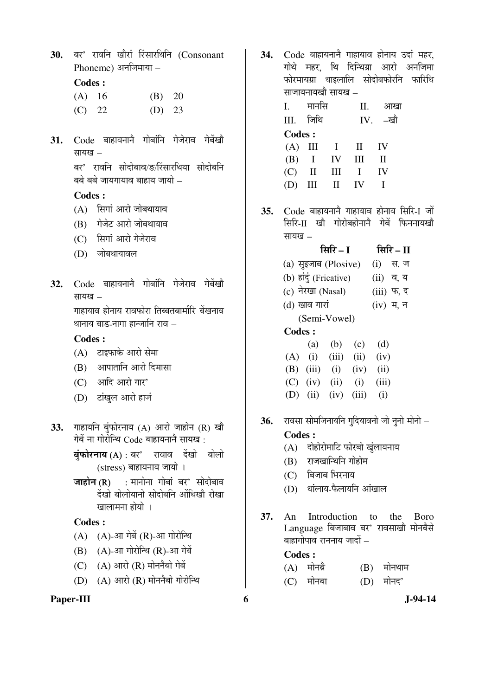30. बर' रावनि खौरां रिंसारथिनि (Consonant  $P$ honeme) अनजिमाया –

# **Codes :**

| $(A)$ 16 | (B) 20 |  |
|----------|--------|--|
| (C) 22   | (D) 23 |  |

31. Code बाहायनानै गोबांनि गेजेराव गेबेंखौ सायख $-$ 

> बर' रावनि सोदोबाव/ङ/रिंसारथिया सोदोबनि बबे बबे जायगायाव बाहाय जायो –

#### **Codes :**

- $(A)$  सिगां आरो जोबथायाव
- (B) गेजेट आरो जोबथायाव
- (C) सिगां आरो गेजेराव
- (D) जोबथायावल
- 32. Code बाहायनाने गोबांनि गेजेराव गेबेंखौ  $\overline{u}$ यायग्व $\overline{u}$

गाहायाव होनाय रावफोरा तिब्बतबार्मारि बेंखनाव थानाय बाड-नागा हान्जानि राव $-$ 

## **Codes :**

- $(A)$  टाइफाके आरो सेमा
- $(B)$  आपातानि आरो दिमासा
- (C) आदि आरो गार'
- (D) टांखुल आरो हाजं
- 33. गाहायनि बुंफोरनाय (A) आरो जाहोन (R) खौ गेबें ना गोरोन्थि  $Code$  बाहायनाने सायख $\,$  :
	- $\vec{a}$ फोरनाय $(A)$ : बर' रावाव देंखो बोलो (stress) बाहायनाय जायो ।
	- $\overline{\text{m}}\overline{\text{m}}\overline{\text{m}}$  (R) : मानोना गोबां बर' सोदोबाव देंखो बोलोयानो सोदोबनि ओंथिखो रोखा खालामना होयो ।

## **Codes :**

- $(A)$   $(A)$ -आ गेबें $(R)$ -आ गोरोन्थि
- $(B)$   $(A)$ -आ गोरोन्थि  $(R)$ -आ गेबें
- $(C)$   $(A)$  आरो $(R)$  मोननैबो गेबें
- $(D)$   $(A)$  आरो $(R)$  मोननैबो गोरोन्थि

# Paper-III 6 **J**-94-14

34. Code बाहायनाने गाहायाव होनाय उदां महर गोथे महर थि दिन्थिग्रा आरो अनजिमा <u>फोरमायग्रा थाइलालि सोदोबफोरनि फारिथि</u> साजायनायखौ सायख –

| Ι.            | मानास          |       | Н.             | आखा          |
|---------------|----------------|-------|----------------|--------------|
| III. जिथि     |                |       |                | IV. -खौ      |
| <b>Codes:</b> |                |       |                |              |
|               | $(A)$ III I II |       |                | - IV         |
|               | $(B)$ I IV III |       |                | H            |
|               | $(C)$ II III   |       | $\blacksquare$ | $\mathbf{I}$ |
| (D)           | $\rm III$      | II IV |                |              |

**35.** Code बाहायनानै गाहायाव होनाय सिरि-1 जों <u>सिरि-II खौ गोरोबहोनाने गेबें फिननायखौ</u> सायख $-$ 

# ×ÃÖ׸ü **– I** ×ÃÖ׸ü **– II**

|         | (a) सुइजाब (Plosive)   |                           |     |     |  |  |
|---------|------------------------|---------------------------|-----|-----|--|--|
|         | (b) हांदुं (Fricative) |                           |     |     |  |  |
|         | (c) नेरखा (Nasal)      |                           |     |     |  |  |
|         | (d) खाव गारां          |                           |     |     |  |  |
|         | (Semi-Vowel)           |                           |     |     |  |  |
| Codes : |                        |                           |     |     |  |  |
|         | (a)                    | (b)                       | (c) | (d) |  |  |
|         |                        | $(A)$ (i) (iii) (ii) (iv) |     |     |  |  |
|         |                        |                           |     |     |  |  |

- (B) (iii) (i) (iv) (ii)  $(C)$  (iv) (ii) (i) (iii)
- (D) (ii) (iv) (iii) (i)
- **36.** रावसा सोमजिनायनि गुदियावनो जो नृनो मोनो –

## **Codes :**

- $(A)$  दोहोरोमाटि फोरबो खुंलायनाय
- $(B)$  राजखान्थिनि गोहोम
- $(C)$  बिजाब भिरनाय
- $(D)$  थांलाय-फैलायनि आंखाल
- **37.** An Introduction to the Boro Language बिजाबाव बर' रावसाखौ मोनबैसे बाहागोपाव राननाय जादों <sub>–</sub>

#### **Codes :**

| $(A)$ मोनब्रै | $(B)$ मोनथाम |
|---------------|--------------|
| $(C)$ मोनबा   | $(D)$ मोनद'  |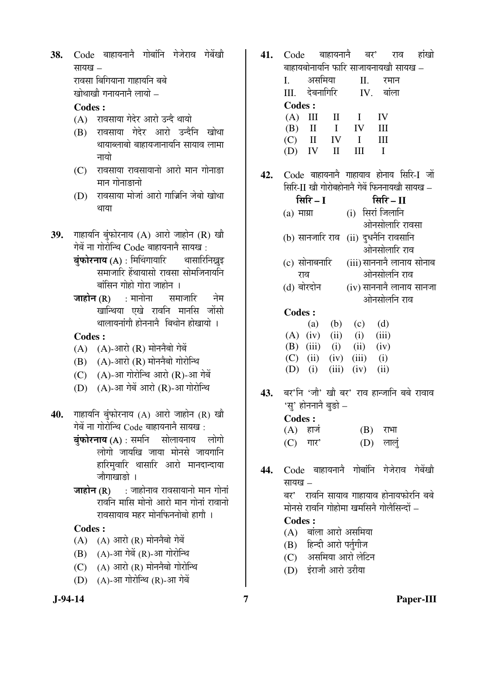38. Code बाहायनाने गोबांनि गेजेराव गेबेंखौ सायख – रावसा बिगियाना गाहायनि बबे खोथाखौ गनायनाने लायो –

#### **Codes :**

- (A) रावसाया गेदेर आरो उन्दै थायो
- (B) रावसाया गेदेर आरो उन्दैनि खोथा थायाब्लाबो बाहायजानायनि सायाव लामा नायो
- $(C)$  ) रावसाया रावसायानो आरो मान गोनाङा मान गोनाङानो
- (D) रावसाया मोजां आरो गाज्रिनि जेबो खोथा थाया
- 39. गाहायनि बुंफोरनाय (A) आरो जाहोन (R) खौ गेबें ना गोरोन्थि Code बाहायनाने सायख:
	- बं**फोरनाय (A)** : मिथिंगायारि थासारिनिख्नुइ समाजारि हेंथायासो रावसा सोमजिनायनि बांसिन गोहो गोरा जाहोन**।**
	- $\overline{v}$ जाहोन $(R)$  : मानोना समाजारि नेम खान्थिया एखे रावनि मानसि जोंसो थालायनांगौ होननानै बिथोन होखायो ।

#### **Codes :**

- $(A)$   $(A)$ -आरो $(R)$  मोननैबो गेबें
- $(B)$   $(A)$ -आरो $(R)$  मोननैबो गोरोन्थि
- $(C)$   $(A)$ -आ गोरोन्थि आरो  $(R)$ -आ गेबें
- $(D)$   $(A)$ -आ गेबें आरो  $(R)$ -आ गोरोन्थि
- **40.** गाहायनि बंफोरनाय (A) आरो जाहोन (R) खौ गेबें ना गोरोन्थि Code बाहायनाने सायख:
	- $\vec{a}$ फोरनाय $(A)$ : समनि सोलायनाय लोगो लोगो जायखि जाया मोनसे जायगान<mark>ि</mark> हारिमुवारि थासारि आरो मानदान्दाया जौगाखाङो ।
	- **जाहोन (R)** : जाहोनाव रावसायानो मान गोनां रावनि मासि मोनो आरो मान गोनां रावानो रावसायाव महर मोनफिननोबो हागौ ।

#### **Codes :**

- $(A)$   $(A)$  आरो  $(R)$  मोननैबो गेबें
- $(B)$   $(A)$ -आ गेबें  $(R)$ -आ गोरोन्थि
- $(C)$   $(A)$  आरो $(R)$  मोननैबो गोरोन्थि
- $(D)$   $(A)$ -आ गोरोन्थि  $(R)$ -आ गेबें
- **41.** Code बाहायनाने बर' राव हांखो बाहायबोनायनि फारि साजायनायखौ सायख – I. असमिया II. रमान III. देबनागिरि IV. बांला **Codes :**  $(A)$  III II I IV
- (B) II I IV III  $(C)$  II IV I III  $(D)$  IV II III I
- 42. Code बाहायनाने गाहायाव होनाय सिरि-I जों  $\widehat{\mathbf{R}}$ मिरि-II खौ गोरोबहोनानै गेबें फिननायखौ सायख $\,$  –
	- ×ÃÖ׸ü **I** ×ÃÖ׸ü **II**  (a) माग्रा (i) सिरां जिलानि ओनसोलारि रावसा (b) सानजारि राव (ii) दुधनैनि रावसानि ओनसोलारि राव (c) सोनाबनारि (iii) साननानै लानाय सोनाब
	- राव ओनसोलनि राव  $(d)$  बोरदोन  $(iv)$  साननानै लानाय सानजा ओनसोलनि राव

#### **Codes :**

|  | (a) (b) (c) (d)                 |  |
|--|---------------------------------|--|
|  | $(A)$ (iv) (ii) (i) (iii)       |  |
|  | (B) $(iii)$ $(i)$ $(ii)$ $(iv)$ |  |
|  | $(C)$ (ii) (iv) (iii) (i)       |  |
|  | (D) (i) (iii) (iv) (ii)         |  |

**43.** बर'नि 'जौ' खौ बर' राव हान्जानि बबे रावाव 'स्' होननानै बङो –

| Codes : |                            |            |            |
|---------|----------------------------|------------|------------|
|         | $(A)$ हाज                  | $(B)$ राभा |            |
|         | $(C)$ $\Pi$ $\overline{C}$ |            | $(D)$ लालु |

44. Code बाहायनानै गोबांनि गेजेराव गेबेंखौ सायख $-$ बर' रावनि सायाव गाहायाव होनायफोरनि बबे मोनसे रावनि गोहोमा खमसिनै गोलैसिन्दों –

#### **Codes :**

- $(A)$  बांला आरो असमिया
- (B) हिन्दी आरो पर्तुगीज
- (C) असमिया आरो लेटिन
- (D) इंराजी आरो उरीया

#### **J-94-14 7 Paper-III**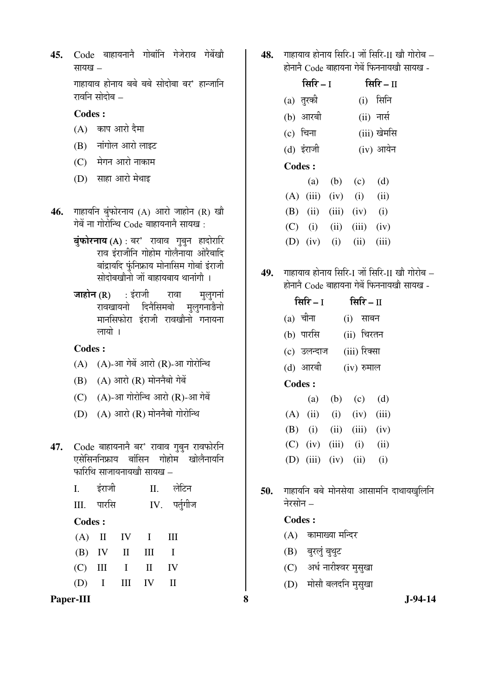45. Code बाहायनाने गोबांनि गेजेराव गेबेंखो सायख $-$ 

> गाहायाव होनाय बबे बबे सोदोबा बर' हान्जानि रावनि सोदोब $=$

#### **Codes :**

- $(A)$  काप आरो दैमा
- $(B)$  नांगोल आरो लाइट
- (C) मेगन आरो नाकाम
- $(D)$  साहा आरो मेथाइ
- 46. गाहायनि बुंफोरनाय (A) आरो जाहोन (R) खौ गेबें ना गोरोन्थि  $\overline{Code}$  बाहायनानै सायख $\overline{c}$  :
	- बुंफोरनाय $(A)$ : बर' रावाव गुबुन हादोरारि राव इंराजीनि गोहोम गोलैनाया ओरैबादि बांद्रायदि फुंनिफ्राय मोनासिम गोबां इंराजी सोदोबखौनो जों बाहायबाय थानांगौ ।
	- जाहोन $(R)$  : इंराजी रावा मलगनां रावखायनो दिनैसिमबो म<u>ु</u>लुगनाङैनो मानसिफोरा इंराजी रावखौनो गनायना लायो ।

### **Codes :**

- $(A)$   $(A)$ -आ गेबें आरो  $(R)$ -आ गोरोन्थि
- $(B)$   $(A)$  आरो  $(R)$  मोननैबो गेबें
- $(C)$   $(A)$ -आ गोरोन्थि आरो  $(R)$ -आ गेबें
- $(D)$   $(A)$  आरो  $(R)$  मोननैबो गोरोन्थि
- 47. Code बाहायनाने बर' रावाव गुबुन रावफोरनि एसेसिननिफ्राय बांसिन गोहोम खोलैनायनि  $\overline{\text{unl}}$ धि साजायनायखौ सायख $\overline{\text{u}}$

|         | I. इंराजी  |                   | ∏. लेटिन     |
|---------|------------|-------------------|--------------|
|         | III. पारसि |                   | IV. पर्तुगीज |
| Codes : |            |                   |              |
|         |            | $(A)$ II IV I III |              |
|         |            | $(B)$ IV II III I |              |
|         |            | $(C)$ III I II IV |              |
|         |            | $(D)$ I III IV II |              |

Paper-III 8 **8** J-94-14

48. THE THE RIFT AFT - I THE THE THE THE THE STATE  $\vec{E}$ होनाने  $\vec{C}$ ode बाहायना गेबें फिननायखौ सायख -

|            | सिरि – I    |                |            | सिरि – II    |
|------------|-------------|----------------|------------|--------------|
| (a) तुरकी  |             |                |            | $(i)$ सिनि   |
|            | (b) आरबी    |                |            | $(ii)$ नार्स |
| (c) चिना   |             |                |            | (iii) खेमसि  |
| (d) इंराजी |             |                |            | $(iv)$ आयेन  |
| Codes:     |             |                |            |              |
|            |             | (a) (b) (c)    |            | (d)          |
|            | $(A)$ (iii) |                | $(iv)$ (i) | (ii)         |
| (B)        | (ii)        | $(iii)$ $(iv)$ |            | (i)          |
| (C)        | (i)         | (ii)           | (iii)      | (iv)         |

49. IDEN ED ENDER ET EIGO ET EIGHTER FRAGHER  $\vec{E}$ होनाने  $\vec{C}$ ode बाहायना गेबें फिननायखो सायख -

(D) (iv) (i) (ii) (iii)

|               | सिरि $-1$   |       | सिरि $ II$   |       |
|---------------|-------------|-------|--------------|-------|
| $(a)$ चीना    |             |       | (i)<br>साबन  |       |
|               | (b) पारसि   |       | (ii) चिरतन   |       |
|               | (c) उलन्दाज |       | (iii) रिक्सा |       |
|               | (d) आरबी    |       | $(iv)$ रुमाल |       |
| <b>Codes:</b> |             |       |              |       |
|               | (a)         | (b)   | (c)          | (d)   |
| (A)           | (ii)        | (i)   | (iv)         | (iii) |
| (B)           | (i)         | (ii)  | (iii)        | (iv)  |
| (C)           | (iv)        | (iii) | (i)          | (ii)  |
|               | $(D)$ (iii) | (iv)  | (ii)         | (i)   |

50. गाहायनि बबे मोनसेया आसामनि दाथायखुलिनि नेरसोन $-$ 

## **Codes :**

- $(A)$  कामाख्या मन्दिर
- (B) बुरलुं बुथुट
- (C) अर्ध नारीश्वर मुसुखा
- (D) मोसौ बलदनि मुसुखा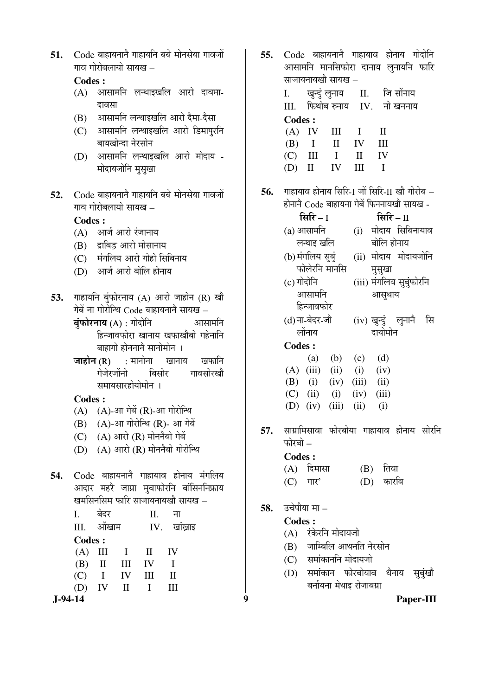51. Code बाहायनाने गाहायनि बबे मोनसेया गावजों गाव गोरोबलायो सायख –

## **Codes :**

- $(A)$  आसामनि लन्थाइखलि आरो दावमा-दावसा
- (B) आसामनि लन्थाइखलि आरो दैमा-दैसा
- (C) आसामनि लन्थाइखलि आरो डिमापुरनि बायखोन्दा नेरसोन
- (D) आसामनि लन्थाइखलि आरो मोदाय -मोदायजोनि मुसुखा
- 52. Code बाहायनाने गाहायनि बबे मोनसेया गावजों  $\overline{\mathbf{u}}$ Tuber individual –

 **Codes :** 

- $(A)$  आर्ज आरो रंजानाय
- (B) द्राबिड़ आरो मोसानाय
- (C) मंगलिय आरो गोहो सिबिनाय
- (D) आर्ज आरो बोलि होनाय
- **53.** गाहायनि बुंफोरनाय (A) आरो जाहोन (R) खौ गेबें ना गोरोन्थि  $Code$  बाहायनाने सायख $-$ 
	- $\vec{a}$ फोरनाय (A) : गोदोनि $\vec{b}$ क्यासामनि हिन्जावफोरा खानाय खफाखौबो गहेनानि बाहागो होननानै सानोमोन ।
	- $\overline{3}$ जाहोन (R) : मानोना खानाय खफानि गेजेरजोंनो बिसोर गावसोरखो समायसारहोयोमोन**।**

**Codes :**

- $(A)$   $(A)$ -आ गेबें $(R)$ -आ गोरोन्थि
- $(B)$   $(A)$ -आ गोरोन्थि  $(R)$  आ गेबें
- $(C)$   $(A)$  आरो  $(R)$  मोननैबो गेबें
- $(D)$   $(A)$  आरो $(R)$  मोननैबो गोरोन्थि
- 54. Code बाहायनाने गाहायाव होनाय मंगलिय आदार महरै जाग्रा मुवाफोरनि बांसिननिफ्राय खमसिनसिम फारि साजायनायखौ सायख –

| ना<br>बदर<br>П.                                                                | 50.<br>उपपाया मा –                                                                                                                                                               |
|--------------------------------------------------------------------------------|----------------------------------------------------------------------------------------------------------------------------------------------------------------------------------|
| Ш.<br>IV.<br>ओखाम<br>खाखाइ<br><b>Codes:</b><br>(A)<br>Ш<br>(B)<br>П<br>IV<br>Ш | <b>Codes:</b><br>रंकेरनि मोदायजो<br>(A)<br>जाम्बिलि आथनति नेरसोन<br>(B)<br>समांकाननि मोदायजो<br>(C)<br>फोरबोयाव<br>सुबुंखो<br>(D)<br>थैनाय<br>समाकान<br>बर्नायना मेथाइ रोजाबग्रा |
| $J-94-14$                                                                      | Q<br>Paper-III                                                                                                                                                                   |

- **55.** Code बाहायनाने गाहायाव होनाय गोदोनि आसामनि मानसिफोरा दानाय लुनायनि फारि साजायनायखौ सायख –
	- I. खुन्दुं लुनाय II. जिसोंनाय  $III$  किथोब रुनाय  $IV$  नो खननाय **Codes :**  $(A)$  IV III I II  $(B)$  I II IV III  $(C)$  III I II IV (D) II IV III I
- **56.** ÝÖÖÆüÖµÖÖ¾Ö ÆüÖê®ÖÖµÖ ×ÃÖ׸ü-I •ÖÖë ×ÃÖ׸ü-II ÜÖÖî ÝÖÖê¸üÖê²Ö  $\vec{E}$ होनाने  $\vec{C}$ ode बाहायना गेबें फिननायखौ सायख -

| सिरि – I              | सिरि $-$ ∏                |  |  |  |
|-----------------------|---------------------------|--|--|--|
| (a) आसामनि            | (i) मोदाय सिबिनायाव       |  |  |  |
| लन्थाइ खलि            | बोलि होनाय                |  |  |  |
| (b) मंगलिय सुब्       | (ii) मोदाय मोदायजोनि      |  |  |  |
| फोलेरनि मानसि         | मुसुखा                    |  |  |  |
| (c) गोदोनि            | (iii) मंगलिय सुबुंफोरनि   |  |  |  |
| आसामनि                | आसुथाय                    |  |  |  |
| हिन्जावफोर            |                           |  |  |  |
| (d) ना-बेदर-जौ        | (iv) खुन्दुं लुनानै<br>सि |  |  |  |
| लोंनाय                | दायोमोन                   |  |  |  |
| <b>Codes:</b>         |                           |  |  |  |
| (b)<br>(a)            | (d)<br>(c)                |  |  |  |
| $(iii)$ $(ii)$<br>(A) | (i)<br>(iv)               |  |  |  |
| (i)<br>(iv)<br>(B)    | $(iii)$ $(ii)$            |  |  |  |
| $(C)$ (ii)<br>(i)     | (iii)<br>(iv)             |  |  |  |
| (iii)<br>(iv)<br>(D)  | (ii)<br>(i)               |  |  |  |

**57.** साम्रामिसावा फोरबोया गाहायाव होनाय सोरनि  $\overrightarrow{u}$ ोरबो $\overrightarrow{v}$ 

| Codes : |                            |             |
|---------|----------------------------|-------------|
|         | $(A)$ दिमासा               | $(B)$ तिवा  |
|         | $(C)$ $\Pi$ $\overline{C}$ | $(D)$ कारबि |

- 58. उचेपीया मा
	- **Codes :**

- (B) जाम्बिलि आथनति नेरसोन
- (C) समांकाननि मोदायजो
- (D) समांकान फोरबोयाव थैनाय सुबुंखौ बर्नायना मेथाइ रोजाबग्रा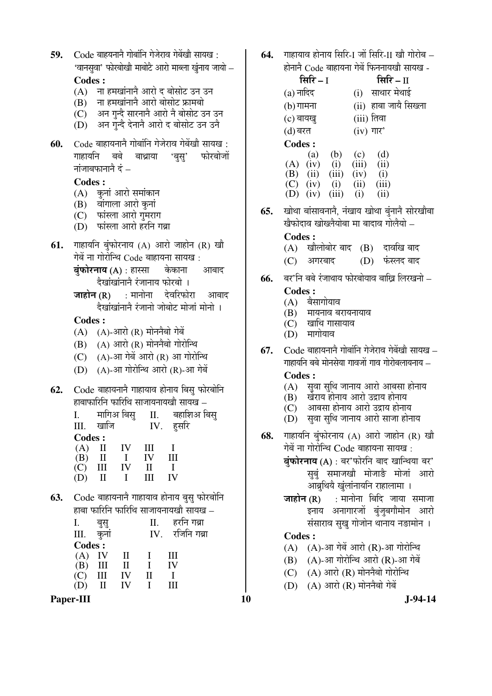- **59.** Code बाहयनानै गोबांनि गेजेराव गेबेंखौ सायख: 'वानसुवा' फोरबोखौ माबोटै आरो माब्ला खुंनाय जायो –  **Codes :** 
	- $(A)$  ना हमखांनाने आरो द बोसोट उन उन
	- $(B)$  ना हमखांनाने आरो बोसोट फ्रामबो
	- (C) । अन गुन्दै सारनानै आरो नै बोसोट उन उन
	- $(D)$  अन गन्दै देनानै आरो द बोसोट उन उनै
- **60.** Code बाहायनाने गोबांनि गेजेराव गेबेंखौ सायख: गाहायनि बबे बाथ्राया 'बुसु' फोरबोजों  $\vec{a}$ नांजाबफानाने दं $\vec{b}$  –

 **Codes :** 

- (A) कुनां आरो समांकान
- $(B)$  वांगाला आरो कुनां
- (C) फांस्ला आरो गुमराग
- (D) फांस्ला आरो हरनि गब्रा
- **61.** गाहायनि बुंफोरनाय (A) आरो जाहोन (R) खौ गेबें ना गोरोन्थि Code बाहायना सायख:
	- $\dot{\mathbf{q}}$ फोरनाय (A) : हास्सा केकाना आबाद दैखांखांनाने रंजानाय फोरबो ।
	- $\overline{\mathbf{S}}$ जाहोन $(\mathbf{R})$  : मानोना देवरिफोरा आबाद दैखांखांनाने रंजानो जोबोट मोजां मोनो ।

**Codes :**

- $(A)$   $(A)$ -आरो $(R)$  मोननैबो गेबें
- $(B)$   $(A)$  आरो  $(R)$  मोननैबो गोरोन्थि
- $(C)$   $(A)$ -आ गेबें आरो $(R)$  आ गोरोन्थि
- $(D)$   $(A)$ -आ गोरोन्थि आरो  $(R)$ -आ गेबें
- 62. Code बाहायनाने गाहायाव होनाय बिस् फोरबोनि हाबाफारिनि फारिथि साजायनायखौ सायख –

| Ι.            | मागिअ बिसु   |    | $\prod$ .    | बहाशिअ बिस् |
|---------------|--------------|----|--------------|-------------|
| III.          | खाजि         |    | IV.          | हसरि        |
| <b>Codes:</b> |              |    |              |             |
|               | $(A)$ II IV  |    | $\mathbf{I}$ |             |
| $(B)$ II      |              |    | IV           | Ħ           |
| (C)           | $\mathbf{H}$ | IV | $\mathbf{u}$ |             |
|               |              |    |              |             |

**63.** Code बाहायनानै गाहायाव होनाय बसु फोरबोनि हाबा फारिनि फारिथि साजायनायखौ सायख $\,$  –

| Ī.            |              |              | П.           | हरनि गब्रा  |
|---------------|--------------|--------------|--------------|-------------|
| Ш.            | कुनां        |              | IV.          | रजिनि गब्रा |
| <b>Codes:</b> |              |              |              |             |
| $(A)$ IV      |              | $\mathbf{H}$ |              | Ш           |
| $(B)$ III     |              | $\mathbf{H}$ |              | IV          |
| (C)           | III          | IV           | $\mathbf{I}$ |             |
| (D)           | $\mathbf{I}$ | IV           |              | Ш           |
|               |              |              |              |             |

Paper-III **10** J-94-14

**64.** Inarana adana सिरि-1 जों सिरि-11 खौ गोरोब – होनाने  $Co$ de बाहायना गेबें फिननायखो सायख -

| सिरि – I      |       |             | सिरि $ \scriptstyle\rm II$ |                       |
|---------------|-------|-------------|----------------------------|-----------------------|
| $(a)$ नादिद   |       | (i)         | साथार मेथाई                |                       |
| $(b)$ गामना   |       |             |                            | (ii) हाबा जायै सिख्ला |
| $(c)$ बायखु   |       | (iii) तिवा  |                            |                       |
| (d) बरत       |       | $(iv)$ गार' |                            |                       |
| <b>Codes:</b> |       |             |                            |                       |
| (a)           | (b)   | (c)         | (d)                        |                       |
| (iv)<br>(A)   | (i)   | (iii)       | (ii)                       |                       |
| (ii)<br>(B)   | (iii) | (iv)        | (i)                        |                       |
| (iv)<br>(C)   | (i)   | (ii)        | (iii)                      |                       |
| (iv)          | (iii) | (i)         | $\rm (ii)$                 |                       |

**65.** खोथा बांसावनाने, नंखाय खोथा बुंनाने सोरखौबा <u>खैफोदाव खोख्लैयोबा मा बादाव गोलैयो –</u>

#### **Codes :**

- $(A)$  खौलोबोर बाद  $(B)$  दावखि बाद
- $(C)$  आगरबाद  $(D)$  फंस्लंद बाद
- **66.** बर'नि बबे रंजाथाय फोरबोयाव बाखि लिरखनो –

# **Codes :**

- $(A)$  बैसागोयाव
- $(B)$  मायनाव बरायनायाव
- $(C)$  खाथि गासायाव
- $(D)$  मार्गोयाव
- **67.** Code बाहायनाने गोबांनि गेजेराव गेबेंखौ सायख गाहायनि बबे मोनसेया गावजों गाव गोरोबलायनाय –

## **Codes :**

- $(A)$  सवा सुथि जानाय आरो आबसा होनाय
- $(B)$  खेराय होनाय आरो उद्राय होनाय
- $(C)$  आबसा होनाय आरो उद्राय होनाय
- $(D)$  सुवा सुथि जानाय आरो साजा होनाय
- **68.** गाहायनि बुंफोरनाय (A) आरो जाहोन (R) खौ गेबें ना गोरोन्थि Code बाहायना सायख:
	- बुंफोरनाय (A) : बर'फोरनि बाद खान्थिया बर' <u>सुबुं</u> समाजखौ मोजाङै मोजां आरो आब्रुथियै खुलांनायनि राहालामा ।
	- $\overline{\mathbf{S}}$  (R) : मानोना बिदि जाया समाजा इनाय अनागारजों बंजुबगौमोन आरो संसाराव सुखु गोजोन थानाय नङामोन ।

## **Codes :**

- $(A)$   $(A)$ -आ गेबें आरो  $(R)$ -आ गोरोन्थि
- $(B)$   $(A)$ -आ गोरोन्थि आरो  $(R)$ -आ गेबें
- $(C)$   $(A)$  आरो $(R)$  मोननैबो गोरोन्थि
- $(D)$   $(A)$  आरो  $(R)$  मोननैबो गेबें
-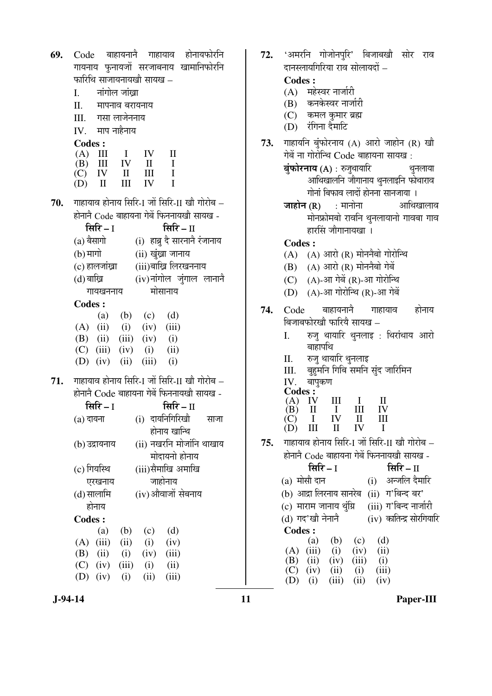| 69. |                                                                                  |                 |                    |                           |                | Code बाहायनानै गाहायाव होनायफोरनि           |  |
|-----|----------------------------------------------------------------------------------|-----------------|--------------------|---------------------------|----------------|---------------------------------------------|--|
|     |                                                                                  |                 |                    |                           |                | गायनाय फुनायजों सरजाबनाय खामानिफोरनि        |  |
|     |                                                                                  |                 |                    | फारिथि साजायनायखौ सायख –  |                |                                             |  |
|     |                                                                                  |                 | I. नांगोल जांख्रा  |                           |                |                                             |  |
|     |                                                                                  |                 | II. मापनाव बरायनाय |                           |                |                                             |  |
|     |                                                                                  |                 | III. गसा लाजेननाय  |                           |                |                                             |  |
|     |                                                                                  | IV. माप नाहैनाय |                    |                           |                |                                             |  |
|     | <b>Codes:</b>                                                                    |                 |                    |                           |                |                                             |  |
|     | $(A)$ III                                                                        |                 | $\mathbf{I}$       | IV                        | $\mathbf{I}$   |                                             |  |
|     |                                                                                  | $(B)$ III       | IV                 | $\mathbf{H}$              | $\mathbf{I}$   |                                             |  |
|     |                                                                                  | $(C)$ IV II     |                    | III                       | $\mathbf{I}$   |                                             |  |
|     | $(D)$ II                                                                         |                 | Ш                  | IV                        | $\blacksquare$ |                                             |  |
| 70. |                                                                                  |                 |                    |                           |                | गाहायाव होनाय सिरि-I जों सिरि-II खौ गोरोब – |  |
|     |                                                                                  |                 |                    |                           |                | होनाने Code बाहायना गेबें फिननायखौ सायख -   |  |
|     |                                                                                  | सिरि $-1$       |                    |                           | सिरि $-$ ∏     |                                             |  |
|     |                                                                                  | (a) बैसागो      |                    |                           |                | (i) हाब्रु दे सारनाने रंजानाय               |  |
|     | (b) मार्गो                                                                       |                 |                    | (ii) खुंख्रा जानाय        |                |                                             |  |
|     |                                                                                  |                 |                    |                           |                |                                             |  |
|     | (iii)बाख्रि लिरखननाय<br>(c) हालजांख्रा<br>(iv)नांगोल जुंगाल लानानै<br>(d) बाख्रि |                 |                    |                           |                |                                             |  |
|     |                                                                                  | गायखननाय        |                    |                           | मोसानाय        |                                             |  |
|     | <b>Codes:</b>                                                                    |                 |                    |                           |                |                                             |  |
|     |                                                                                  |                 |                    | (a) (b) (c) (d)           |                |                                             |  |
|     |                                                                                  |                 |                    | $(A)$ (ii) (i) (iv) (iii) |                |                                             |  |
|     |                                                                                  |                 |                    | (B) (ii) (iii) (iv) (i)   |                |                                             |  |
|     |                                                                                  |                 |                    | $(C)$ (iii) (iv) (i) (ii) |                |                                             |  |
|     |                                                                                  |                 |                    | (D) (iv) (ii) (iii) (i)   |                |                                             |  |
| 71. |                                                                                  |                 |                    |                           |                | गाहायाव होनाय सिरि-1 जों सिरि-II खौ गोरोब – |  |
|     |                                                                                  |                 |                    |                           |                | होनानै Code बाहायना गेबें फिननायखौ सायख -   |  |
|     |                                                                                  | सिरि – I        |                    |                           | सिरि $-$ ‼     |                                             |  |
|     |                                                                                  |                 |                    |                           |                | (a) दायना (i) दायनिगिरिखौ साजा              |  |
|     |                                                                                  |                 |                    |                           | होनाय खान्थि   |                                             |  |
|     |                                                                                  | (b) उद्रायनाय   |                    |                           |                | (ii) नखरनि मोजांनि थाखाय                    |  |
|     |                                                                                  |                 |                    |                           |                | मोदायनो होनाय                               |  |
|     |                                                                                  | (c) गियस्थि     |                    | (iii)सैमाखि अमाखि         |                |                                             |  |
|     |                                                                                  | एरखनाय          |                    |                           | जाहोनाय        |                                             |  |
|     |                                                                                  | (d) सालामि      |                    |                           |                | (iv) औवाजों सेबनाय                          |  |
|     |                                                                                  | होनाय           |                    |                           |                |                                             |  |
|     | <b>Codes:</b>                                                                    |                 |                    |                           |                |                                             |  |
|     |                                                                                  | (a)             | (b)                | (c)                       | (d)            |                                             |  |
|     |                                                                                  | $(A)$ (iii)     | (ii)               | (i)                       | (iv)           |                                             |  |
|     |                                                                                  | $(B)$ (ii)      | (i)                | (iv)                      | (iii)          |                                             |  |
|     |                                                                                  |                 | (C) (iv) (iii) (i) |                           | (ii)           |                                             |  |
|     |                                                                                  | (D) (iv) (i)    |                    | (ii)                      | (iii)          |                                             |  |

(B) कनकेस्वर नार्जारी (C) कमल कमार ब्रह्म (D) रंगिना दैमाटि **73.** गाहायनि बुंफोरनाय (A) आरो जाहोन (R) खौ गेबें ना गोरोन्थि Code बाहायना सायख:  $\dot{\mathbf{q}}$ फोरनाय (A) : रुजुथायारि $\dot{\mathbf{q}}$ कुमलाया आथिखालनि जौगानाय थुनलाइनि फोथाराव गोनां बिफाव लादों होनना सानजाया ।  $\overline{5}$ जाहोन (R) : मानोना आथिखालाव मोनफ्रोमबो रावनि थुनलायानो गावबा गाव हारसिं जौगानायखा । **Codes :**  $(A)$   $(A)$  आरो  $(R)$  मोननैबो गोरोन्थि  $(B)$   $(A)$  आरो  $(R)$  मोननैबो गेबें  $(C)$   $(A)$ -आ गेबें $(R)$ -आ गोरोन्थि  $(D)$   $(A)$ -आ गोरोन्थि  $(R)$ -आ गेबें **74.** Code बाहायनानै गाहायाव होनाय बिजाबफोरखो फारिये सायख – I. रुजु थायारि थुनलाइ : थिरांथाय आरो बाहापथि II. रुज थायारि थनलाइ III. बुहुमनि गिबि समनि सुंद जारिमिन IV. बापुकण **Codes :**  $(A)$  IV III I II<br>  $(B)$  II I III IV  $(B)$  II I III IV<br>  $(C)$  I IV II III  $\begin{array}{cccc} (C) & I & IV & II & II \\ (D) & III & II & IV & I \end{array}$  $(D)$  III 75. माहायाव होनाय सिरि-I जों सिरि-II खौ गोरोब – होनाने Code बाहायना गेबें फिननायखौ सायख -×ÃÖ׸ü **–** I ×ÃÖ׸ü **–** II (a) मोसौ दान (i) अन्जलि दैमारि (b) आद्रा लिरनाय सानरेब $(iii)$ ा'बिन्द बर'

> (c) माराम जानाय थुंग्रि (iii) ग'बिन्द नार्जारी  $(d)$  गद'खौ नेनानै $(iv)$  कातिन्द्र सोरगियारि

**Codes :**

(a) (b) (c) (d)

(A) (iii) (i) (iv) (ii) (B) (ii) (iv) (iii) (j) (B) (ii) (iv) (iii) (i)  $(C)$  (iv) (ii) (i) (iii) (D) (i) (iii) (ii) (iv)

72. 'अमरनि गोजोनपुरि' बिजाबखौ सोर राव

दानस्लायगिरिया राव सोलायदों –

(A) महेस्वर नार्जारी

 **Codes :** 

 **J-94-14 11 Paper-III**